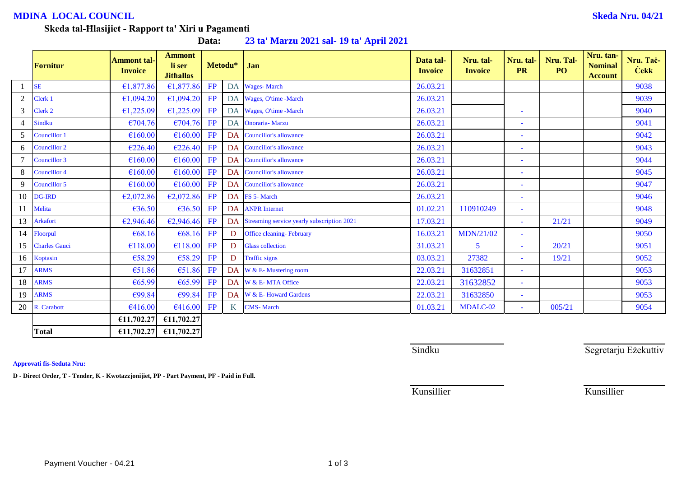## **MDINA LOCAL COUNCIL Skeda Nru. 04/21**

#### **Skeda tal-Ħlasijiet - Rapport ta' Xiri u Pagamenti**

**Data: 23 ta' Marzu 2021 sal- 19 ta' April 2021**

|                | <b>Fornitur</b>      | <b>Ammont tal-</b><br><b>Invoice</b> | <b>Ammont</b><br>li ser<br><b>Jithallas</b> | Metodu* |           | Jan                                        | Data tal-<br><b>Invoice</b> | Nru. tal-<br><b>Invoice</b> | Nru. tal-<br><b>PR</b>   | Nru. Tal-<br>PO <sub>1</sub> | Nru. tan-<br><b>Nominal</b><br><b>Account</b> | Nru. Taċ-<br><b>Cekk</b> |
|----------------|----------------------|--------------------------------------|---------------------------------------------|---------|-----------|--------------------------------------------|-----------------------------|-----------------------------|--------------------------|------------------------------|-----------------------------------------------|--------------------------|
|                | <b>SE</b>            | €1,877.86                            | €1,877.86                                   | FP      | DA        | <b>Wages-March</b>                         | 26.03.21                    |                             |                          |                              |                                               | 9038                     |
| $\overline{2}$ | Clerk 1              | €1,094.20                            | €1,094.20                                   | FP      | <b>DA</b> | Wages, O'time -March                       | 26.03.21                    |                             |                          |                              |                                               | 9039                     |
| 3              | Clerk 2              | €1,225.09                            | €1,225.09                                   | FP      | DA        | Wages, O'time -March                       | 26.03.21                    |                             | ٠                        |                              |                                               | 9040                     |
| $\overline{4}$ | Sindku               | €704.76                              | €704.76                                     | FP      | <b>DA</b> | <b>Onoraria- Marzu</b>                     | 26.03.21                    |                             | ٠                        |                              |                                               | 9041                     |
| 5              | Councillor 1         | €160.00                              | €160.00                                     | FP      | <b>DA</b> | <b>Councillor's allowance</b>              | 26.03.21                    |                             | ٠                        |                              |                                               | 9042                     |
| 6              | <b>Councillor 2</b>  | €226.40                              | €226.40                                     | FP      | <b>DA</b> | <b>Councillor's allowance</b>              | 26.03.21                    |                             | $\blacksquare$           |                              |                                               | 9043                     |
|                | Councillor 3         | €160.00                              | €160.00                                     | FP      | DA        | <b>Councillor's allowance</b>              | 26.03.21                    |                             | ÷                        |                              |                                               | 9044                     |
| 8              | <b>Councillor 4</b>  | €160.00                              | €160.00                                     | FP      | DA        | <b>Councillor's allowance</b>              | 26.03.21                    |                             | ٠                        |                              |                                               | 9045                     |
| 9              | Councillor 5         | €160.00                              | €160.00                                     | FP      | DA        | <b>Councillor's allowance</b>              | 26.03.21                    |                             | ٠                        |                              |                                               | 9047                     |
| 10             | <b>DG-IRD</b>        | €2,072.86                            | €2,072.86                                   | FP      |           | DA FS 5- March                             | 26.03.21                    |                             | $\overline{\phantom{a}}$ |                              |                                               | 9046                     |
| 11             | Melita               | €36.50                               | €36.50                                      | FP      | DA        | <b>ANPR</b> Internet                       | 01.02.21                    | 110910249                   | $\overline{\phantom{a}}$ |                              |                                               | 9048                     |
| 13             | <b>Arkafort</b>      | €2,946.46                            | €2,946.46                                   | FP      | DA        | Streaming service yearly subscription 2021 | 17.03.21                    |                             | $\blacksquare$           | 21/21                        |                                               | 9049                     |
| 14             | Floorpul             | €68.16                               | €68.16                                      | FP      | D         | <b>Office cleaning-February</b>            | 16.03.21                    | MDN/21/02                   | $\blacksquare$           |                              |                                               | 9050                     |
| 15             | <b>Charles Gauci</b> | €118.00                              | €118.00                                     | FP      | D         | <b>Glass collection</b>                    | 31.03.21                    | 5                           | ٠                        | 20/21                        |                                               | 9051                     |
| 16             | Koptasin             | €58.29                               | €58.29                                      | FP      | D         | <b>Traffic signs</b>                       | 03.03.21                    | 27382                       | $\sim$                   | 19/21                        |                                               | 9052                     |
| 17             | <b>ARMS</b>          | €51.86                               | €51.86                                      | FP      |           | DA W & E-Mustering room                    | 22.03.21                    | 31632851                    | $\equiv$                 |                              |                                               | 9053                     |
| 18             | <b>ARMS</b>          | € $65.99$                            | €65.99                                      | FP      |           | DA W & E-MTA Office                        | 22.03.21                    | 31632852                    | $\blacksquare$           |                              |                                               | 9053                     |
| 19             | <b>ARMS</b>          | €99.84                               | €99.84                                      | FP      | <b>DA</b> | W & E-Howard Gardens                       | 22.03.21                    | 31632850                    | ٠                        |                              |                                               | 9053                     |
| 20             | R. Carabott          | €416.00                              | €416.00                                     | FP      | K         | <b>CMS-March</b>                           | 01.03.21                    | MDALC-02                    | $\blacksquare$           | 005/21                       |                                               | 9054                     |
|                |                      | €11,702.27                           | €11,702.27                                  |         |           |                                            |                             |                             |                          |                              |                                               |                          |
|                | <b>Total</b>         | £11,702.27                           | £11,702.27                                  |         |           |                                            |                             |                             |                          |                              |                                               |                          |

**Approvati fis-Seduta Nru:**

**D - Direct Order, T - Tender, K - Kwotazzjonijiet, PP - Part Payment, PF - Paid in Full.**

Sindku Sindku Segretarju Eżekuttiv

Payment Voucher - 04.21 1 of 3

Kunsillier Kunsillier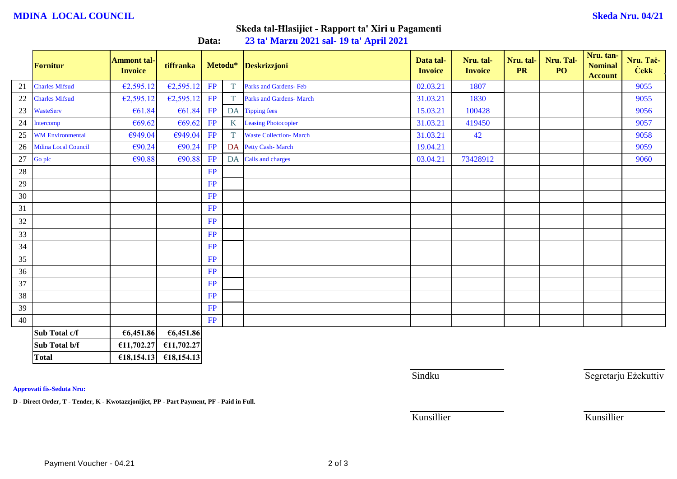### **MDINA LOCAL COUNCIL Skeda Nru. 04/21**

## **Skeda tal-Ħlasijiet - Rapport ta' Xiri u Pagamenti**

**Data: 23 ta' Marzu 2021 sal- 19 ta' April 2021**

|        | <b>Fornitur</b>         | <b>Ammont tal-</b><br><b>Invoice</b> | tiffranka  |           | Metodu*           | Deskrizzjoni                    | Data tal-<br><b>Invoice</b> | Nru. tal-<br><b>Invoice</b> | Nru. tal-<br><b>PR</b> | Nru. Tal-<br>PO | Nru. tan-<br><b>Nominal</b><br><b>Account</b> | Nru. Tac-<br><b>Cekk</b> |
|--------|-------------------------|--------------------------------------|------------|-----------|-------------------|---------------------------------|-----------------------------|-----------------------------|------------------------|-----------------|-----------------------------------------------|--------------------------|
| 21     | <b>Charles Mifsud</b>   | €2,595.12                            | E2,595.12  | FP        | T                 | Parks and Gardens- Feb          | 02.03.21                    | 1807                        |                        |                 |                                               | 9055                     |
| 22     | <b>Charles Mifsud</b>   | €2,595.12                            | E2,595.12  | FP        | T                 | <b>Parks and Gardens- March</b> | 31.03.21                    | 1830                        |                        |                 |                                               | 9055                     |
| 23     | <b>WasteServ</b>        | €61.84                               | €61.84     | FP        |                   | DA Tipping fees                 | 15.03.21                    | 100428                      |                        |                 |                                               | 9056                     |
| 24     | Intercomp               | €69.62                               | €69.62     | FP        | $K_{\mathcal{I}}$ | <b>Leasing Photocopier</b>      | 31.03.21                    | 419450                      |                        |                 |                                               | 9057                     |
| 25     | <b>WM Environmental</b> | €949.04                              | €949.04    | FP        | T                 | <b>Waste Collection- March</b>  | 31.03.21                    | 42                          |                        |                 |                                               | 9058                     |
| 26     | Mdina Local Council     | €90.24                               | €90.24     | FP        |                   | DA Petty Cash-March             | 19.04.21                    |                             |                        |                 |                                               | 9059                     |
| $27\,$ | Go plc                  | €90.88                               | €90.88     | <b>FP</b> |                   | DA Calls and charges            | 03.04.21                    | 73428912                    |                        |                 |                                               | 9060                     |
| 28     |                         |                                      |            | FP        |                   |                                 |                             |                             |                        |                 |                                               |                          |
| 29     |                         |                                      |            | FP        |                   |                                 |                             |                             |                        |                 |                                               |                          |
| $30\,$ |                         |                                      |            | <b>FP</b> |                   |                                 |                             |                             |                        |                 |                                               |                          |
| 31     |                         |                                      |            | FP        |                   |                                 |                             |                             |                        |                 |                                               |                          |
| 32     |                         |                                      |            | FP        |                   |                                 |                             |                             |                        |                 |                                               |                          |
| 33     |                         |                                      |            | <b>FP</b> |                   |                                 |                             |                             |                        |                 |                                               |                          |
| 34     |                         |                                      |            | FP        |                   |                                 |                             |                             |                        |                 |                                               |                          |
| 35     |                         |                                      |            | <b>FP</b> |                   |                                 |                             |                             |                        |                 |                                               |                          |
| $36\,$ |                         |                                      |            | <b>FP</b> |                   |                                 |                             |                             |                        |                 |                                               |                          |
| 37     |                         |                                      |            | <b>FP</b> |                   |                                 |                             |                             |                        |                 |                                               |                          |
| 38     |                         |                                      |            | <b>FP</b> |                   |                                 |                             |                             |                        |                 |                                               |                          |
| 39     |                         |                                      |            | <b>FP</b> |                   |                                 |                             |                             |                        |                 |                                               |                          |
| 40     |                         |                                      |            | <b>FP</b> |                   |                                 |                             |                             |                        |                 |                                               |                          |
|        | Sub Total c/f           | €6,451.86                            | €6,451.86  |           |                   |                                 |                             |                             |                        |                 |                                               |                          |
|        | Sub Total b/f           | €11,702.27                           | £11,702.27 |           |                   |                                 |                             |                             |                        |                 |                                               |                          |
|        | <b>Total</b>            | £18,154.13                           | £18,154.13 |           |                   |                                 |                             |                             |                        |                 |                                               |                          |

**Approvati fis-Seduta Nru:**

**D - Direct Order, T - Tender, K - Kwotazzjonijiet, PP - Part Payment, PF - Paid in Full.**

Sindku Sindku Segretarju Eżekuttiv

Kunsillier Kunsillier